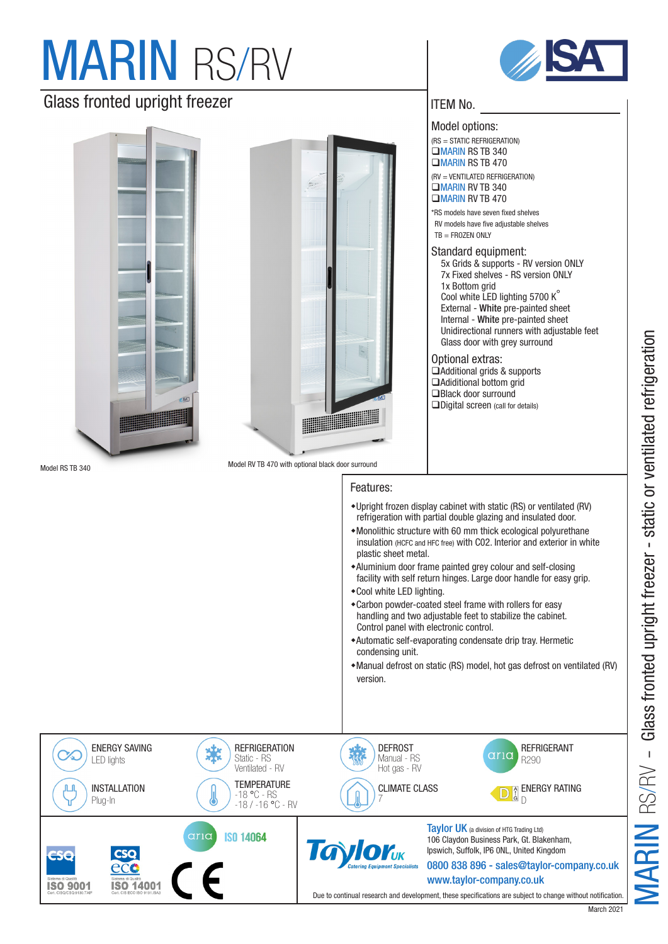# **MARIN RS/RV**

## Glass fronted upright freezer



**ISO 14001** 

**ISO 9001** 





### ITEM No.

Model options: (RS = STATIC REFRIGERATION)  $MARIN$  RS TB 340  $MARIN$  RS TB 470

(RV = VENTILATED REFRIGERATION)  $MAPIN$  RV TB 340  $MARIN$  RV TB 470

\*RS models have seven fixed shelves RV models have five adjustable shelves  $TR = FROZEN$  ONLY

Standard equipment: 5x Grids & supports - RV version ONLY 7x Fixed shelves - RS version ONLY 1x Bottom grid Cool white LED lighting 5700 K° External - White pre-painted sheet Internal - White pre-painted sheet Unidirectional runners with adjustable feet Glass door with grey surround

Optional extras:  $\Box$ Additional grids & supports  $\Box$ Adiditional bottom grid **□Black door surround QDigital screen** (call for details)

Model RV TB 470 with optional black door surround

Features:

### wUpright frozen display cabinet with static (RS) or ventilated (RV) refrigeration with partial double glazing and insulated door.  $*$  Monolithic structure with 60 mm thick ecological polyurethane insulation (HCFC and HFC free) with C02. Interior and exterior in white plastic sheet metal. \*Aluminium door frame painted grey colour and self-closing facility with self return hinges. Large door handle for easy grip. \*Cool white LED lighting. wCarbon powder-coated steel frame with rollers for easy handling and two adjustable feet to stabilize the cabinet. Control panel with electronic control. wAutomatic self-evaporating condensate drip tray. Hermetic condensing unit. wManual defrost on static (RS) model, hot gas defrost on ventilated (RV) version. ENERGY SAVING **REFRIGERATION** REFRIGERANT DEFROST 柴 aria C LED lights Static - RS Manual - RS R290 Ventilated - RV Hot gas - RV **TEMPERATURE INSTALLATION** CLIMATE CLASS ENERGY RATING -18 °C - RS Plug-In 7 D -18 / -16 °C - RV Taylor UK (a division of HTG Trading Ltd) aria **ISO 14064** 106 Claydon Business Park, Gt. Blakenham, **10 VIOY**<sub>UK</sub> Ipswich, Suffolk, IP6 0NL, United Kingdom 0800 838 896 - sales@taylor-company.co.uk

www.taylor-company.co.uk

Due to continual research and development, these specifications are subject to change without notification.